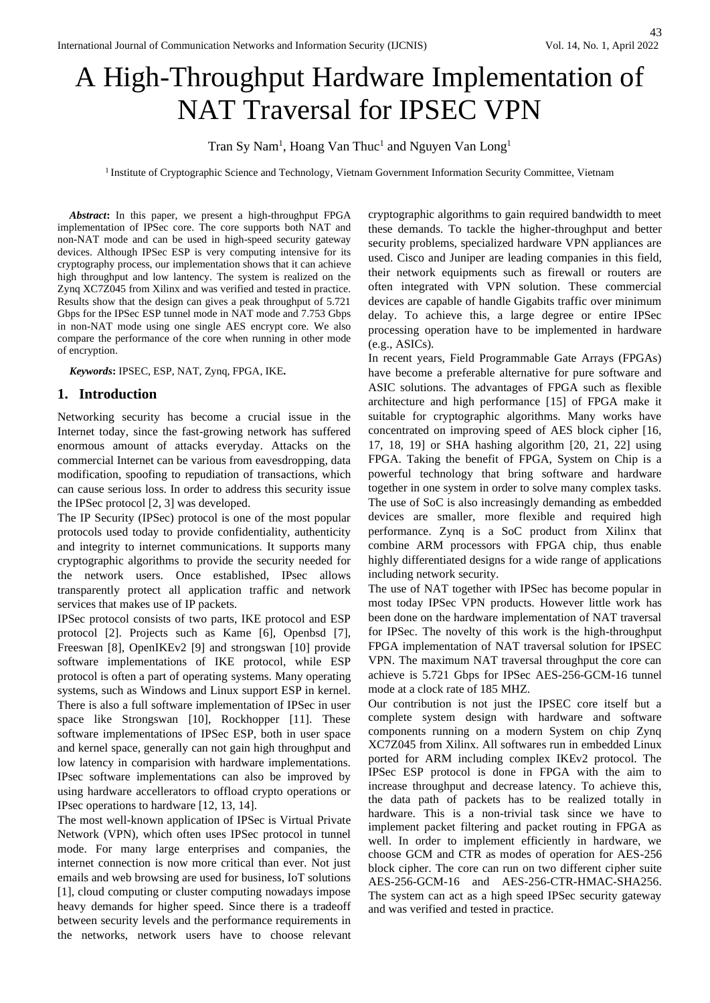# A High-Throughput Hardware Implementation of NAT Traversal for IPSEC VPN

Tran Sy Nam<sup>1</sup>, Hoang Van Thuc<sup>1</sup> and Nguyen Van Long<sup>1</sup>

<sup>1</sup> Institute of Cryptographic Science and Technology, Vietnam Government Information Security Committee, Vietnam

*Abstract***:** In this paper, we present a high-throughput FPGA implementation of IPSec core. The core supports both NAT and non-NAT mode and can be used in high-speed security gateway devices. Although IPSec ESP is very computing intensive for its cryptography process, our implementation shows that it can achieve high throughput and low lantency. The system is realized on the Zynq XC7Z045 from Xilinx and was verified and tested in practice. Results show that the design can gives a peak throughput of 5.721 Gbps for the IPSec ESP tunnel mode in NAT mode and 7.753 Gbps in non-NAT mode using one single AES encrypt core. We also compare the performance of the core when running in other mode of encryption.

*Keywords***:** IPSEC, ESP, NAT, Zynq, FPGA, IKE**.** 

## **1. Introduction**

Networking security has become a crucial issue in the Internet today, since the fast-growing network has suffered enormous amount of attacks everyday. Attacks on the commercial Internet can be various from eavesdropping, data modification, spoofing to repudiation of transactions, which can cause serious loss. In order to address this security issue the IPSec protocol [2, 3] was developed.

The IP Security (IPSec) protocol is one of the most popular protocols used today to provide confidentiality, authenticity and integrity to internet communications. It supports many cryptographic algorithms to provide the security needed for the network users. Once established, IPsec allows transparently protect all application traffic and network services that makes use of IP packets.

IPSec protocol consists of two parts, IKE protocol and ESP protocol [2]. Projects such as Kame [6], Openbsd [7], Freeswan [8], OpenIKEv2 [9] and strongswan [10] provide software implementations of IKE protocol, while ESP protocol is often a part of operating systems. Many operating systems, such as Windows and Linux support ESP in kernel. There is also a full software implementation of IPSec in user space like Strongswan [10], Rockhopper [11]. These software implementations of IPSec ESP, both in user space and kernel space, generally can not gain high throughput and low latency in comparision with hardware implementations. IPsec software implementations can also be improved by using hardware accellerators to offload crypto operations or IPsec operations to hardware [12, 13, 14].

The most well-known application of IPSec is Virtual Private Network (VPN), which often uses IPSec protocol in tunnel mode. For many large enterprises and companies, the internet connection is now more critical than ever. Not just emails and web browsing are used for business, IoT solutions [1], cloud computing or cluster computing nowadays impose heavy demands for higher speed. Since there is a tradeoff between security levels and the performance requirements in the networks, network users have to choose relevant

cryptographic algorithms to gain required bandwidth to meet these demands. To tackle the higher-throughput and better security problems, specialized hardware VPN appliances are used. Cisco and Juniper are leading companies in this field, their network equipments such as firewall or routers are often integrated with VPN solution. These commercial devices are capable of handle Gigabits traffic over minimum delay. To achieve this, a large degree or entire IPSec processing operation have to be implemented in hardware (e.g., ASICs).

In recent years, Field Programmable Gate Arrays (FPGAs) have become a preferable alternative for pure software and ASIC solutions. The advantages of FPGA such as flexible architecture and high performance [15] of FPGA make it suitable for cryptographic algorithms. Many works have concentrated on improving speed of AES block cipher [16, 17, 18, 19] or SHA hashing algorithm [20, 21, 22] using FPGA. Taking the benefit of FPGA, System on Chip is a powerful technology that bring software and hardware together in one system in order to solve many complex tasks. The use of SoC is also increasingly demanding as embedded devices are smaller, more flexible and required high performance. Zynq is a SoC product from Xilinx that combine ARM processors with FPGA chip, thus enable highly differentiated designs for a wide range of applications including network security.

The use of NAT together with IPSec has become popular in most today IPSec VPN products. However little work has been done on the hardware implementation of NAT traversal for IPSec. The novelty of this work is the high-throughput FPGA implementation of NAT traversal solution for IPSEC VPN. The maximum NAT traversal throughput the core can achieve is 5.721 Gbps for IPSec AES-256-GCM-16 tunnel mode at a clock rate of 185 MHZ.

Our contribution is not just the IPSEC core itself but a complete system design with hardware and software components running on a modern System on chip Zynq XC7Z045 from Xilinx. All softwares run in embedded Linux ported for ARM including complex IKEv2 protocol. The IPSec ESP protocol is done in FPGA with the aim to increase throughput and decrease latency. To achieve this, the data path of packets has to be realized totally in hardware. This is a non-trivial task since we have to implement packet filtering and packet routing in FPGA as well. In order to implement efficiently in hardware, we choose GCM and CTR as modes of operation for AES-256 block cipher. The core can run on two different cipher suite AES-256-GCM-16 and AES-256-CTR-HMAC-SHA256. The system can act as a high speed IPSec security gateway and was verified and tested in practice.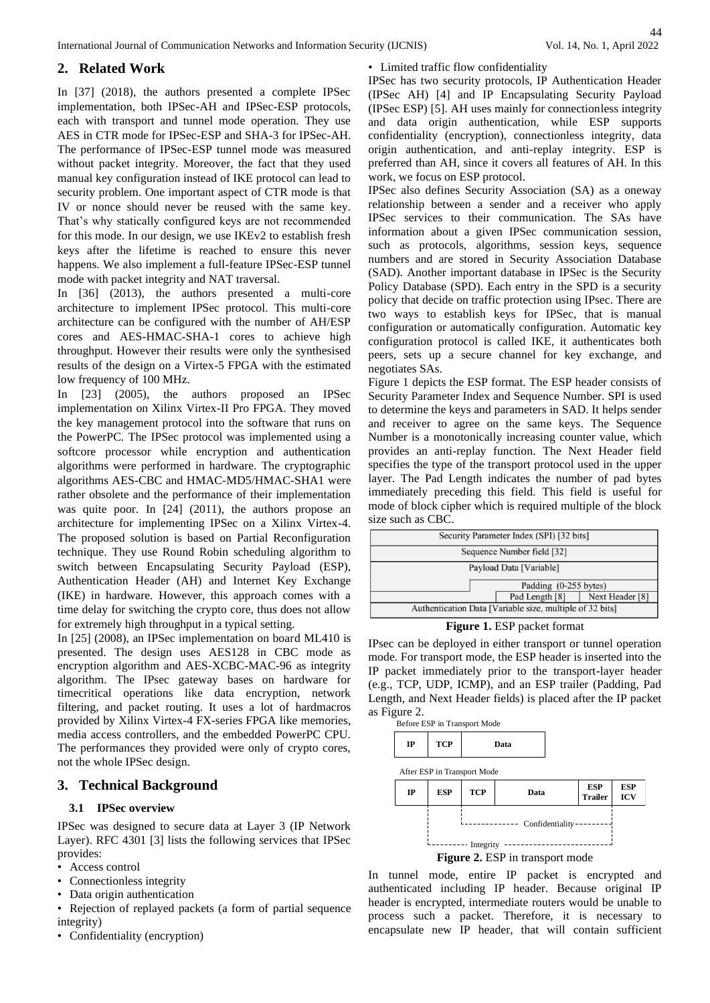# **2. Related Work**

In [37] (2018), the authors presented a complete IPSec implementation, both IPSec-AH and IPSec-ESP protocols, each with transport and tunnel mode operation. They use AES in CTR mode for IPSec-ESP and SHA-3 for IPSec-AH. The performance of IPSec-ESP tunnel mode was measured without packet integrity. Moreover, the fact that they used manual key configuration instead of IKE protocol can lead to security problem. One important aspect of CTR mode is that IV or nonce should never be reused with the same key. That's why statically configured keys are not recommended for this mode. In our design, we use IKEv2 to establish fresh keys after the lifetime is reached to ensure this never happens. We also implement a full-feature IPSec-ESP tunnel mode with packet integrity and NAT traversal.

In [36] (2013), the authors presented a multi-core architecture to implement IPSec protocol. This multi-core architecture can be configured with the number of AH/ESP cores and AES-HMAC-SHA-1 cores to achieve high throughput. However their results were only the synthesised results of the design on a Virtex-5 FPGA with the estimated low frequency of 100 MHz.

In [23] (2005), the authors proposed an IPSec implementation on Xilinx Virtex-II Pro FPGA. They moved the key management protocol into the software that runs on the PowerPC. The IPSec protocol was implemented using a softcore processor while encryption and authentication algorithms were performed in hardware. The cryptographic algorithms AES-CBC and HMAC-MD5/HMAC-SHA1 were rather obsolete and the performance of their implementation was quite poor. In [24] (2011), the authors propose an architecture for implementing IPSec on a Xilinx Virtex-4. The proposed solution is based on Partial Reconfiguration technique. They use Round Robin scheduling algorithm to switch between Encapsulating Security Payload (ESP), Authentication Header (AH) and Internet Key Exchange (IKE) in hardware. However, this approach comes with a time delay for switching the crypto core, thus does not allow for extremely high throughput in a typical setting.

In [25] (2008), an IPSec implementation on board ML410 is presented. The design uses AES128 in CBC mode as encryption algorithm and AES-XCBC-MAC-96 as integrity algorithm. The IPsec gateway bases on hardware for timecritical operations like data encryption, network filtering, and packet routing. It uses a lot of hardmacros provided by Xilinx Virtex-4 FX-series FPGA like memories, media access controllers, and the embedded PowerPC CPU. The performances they provided were only of crypto cores, not the whole IPSec design.

# **3. Technical Background**

#### **3.1 IPSec overview**

IPSec was designed to secure data at Layer 3 (IP Network Layer). RFC 4301 [3] lists the following services that IPSec provides:

- Access control
- Connectionless integrity
- Data origin authentication
- Rejection of replayed packets (a form of partial sequence integrity)
- Confidentiality (encryption)

• Limited traffic flow confidentiality

IPSec has two security protocols, IP Authentication Header (IPSec AH) [4] and IP Encapsulating Security Payload (IPSec ESP) [5]. AH uses mainly for connectionless integrity and data origin authentication, while ESP supports confidentiality (encryption), connectionless integrity, data origin authentication, and anti-replay integrity. ESP is preferred than AH, since it covers all features of AH. In this work, we focus on ESP protocol.

IPSec also defines Security Association (SA) as a oneway relationship between a sender and a receiver who apply IPSec services to their communication. The SAs have information about a given IPSec communication session, such as protocols, algorithms, session keys, sequence numbers and are stored in Security Association Database (SAD). Another important database in IPSec is the Security Policy Database (SPD). Each entry in the SPD is a security policy that decide on traffic protection using IPsec. There are two ways to establish keys for IPSec, that is manual configuration or automatically configuration. Automatic key configuration protocol is called IKE, it authenticates both peers, sets up a secure channel for key exchange, and negotiates SAs.

Figure 1 depicts the ESP format. The ESP header consists of Security Parameter Index and Sequence Number. SPI is used to determine the keys and parameters in SAD. It helps sender and receiver to agree on the same keys. The Sequence Number is a monotonically increasing counter value, which provides an anti-replay function. The Next Header field specifies the type of the transport protocol used in the upper layer. The Pad Length indicates the number of pad bytes immediately preceding this field. This field is useful for mode of block cipher which is required multiple of the block size such as CBC.

| Security Parameter Index (SPI) [32 bits]                 |                |                 |  |
|----------------------------------------------------------|----------------|-----------------|--|
| Sequence Number field [32]                               |                |                 |  |
| Payload Data [Variable]                                  |                |                 |  |
| Padding (0-255 bytes)                                    |                |                 |  |
|                                                          | Pad Length [8] | Next Header [8] |  |
| Authentication Data [Variable size, multiple of 32 bits] |                |                 |  |

**Figure 1.** ESP packet format

IPsec can be deployed in either transport or tunnel operation mode. For transport mode, the ESP header is inserted into the IP packet immediately prior to the transport-layer header (e.g., TCP, UDP, ICMP), and an ESP trailer (Padding, Pad Length, and Next Header fields) is placed after the IP packet as Figure 2.

Before ESP in Transport Mode



After ESP in Transport Mode



In tunnel mode, entire IP packet is encrypted and authenticated including IP header. Because original IP header is encrypted, intermediate routers would be unable to process such a packet. Therefore, it is necessary to encapsulate new IP header, that will contain sufficient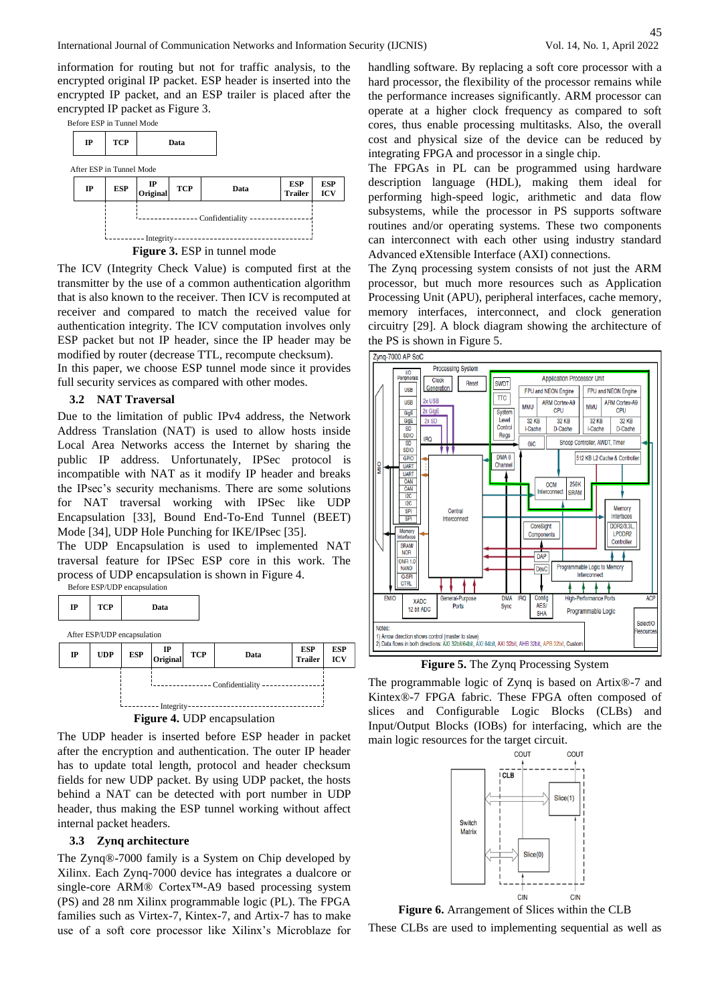45

information for routing but not for traffic analysis, to the encrypted original IP packet. ESP header is inserted into the encrypted IP packet, and an ESP trailer is placed after the encrypted IP packet as Figure 3.

Before ESP in Tunnel Mode



**Figure 3.** ESP in tunnel mode

The ICV (Integrity Check Value) is computed first at the transmitter by the use of a common authentication algorithm that is also known to the receiver. Then ICV is recomputed at receiver and compared to match the received value for authentication integrity. The ICV computation involves only ESP packet but not IP header, since the IP header may be modified by router (decrease TTL, recompute checksum).

In this paper, we choose ESP tunnel mode since it provides full security services as compared with other modes.

#### **3.2 NAT Traversal**

Due to the limitation of public IPv4 address, the Network Address Translation (NAT) is used to allow hosts inside Local Area Networks access the Internet by sharing the public IP address. Unfortunately, IPSec protocol is incompatible with NAT as it modify IP header and breaks the IPsec's security mechanisms. There are some solutions for NAT traversal working with IPSec like UDP Encapsulation [33], Bound End-To-End Tunnel (BEET) Mode [34], UDP Hole Punching for IKE/IPsec [35].

The UDP Encapsulation is used to implemented NAT traversal feature for IPSec ESP core in this work. The process of UDP encapsulation is shown in Figure 4.





The UDP header is inserted before ESP header in packet after the encryption and authentication. The outer IP header has to update total length, protocol and header checksum fields for new UDP packet. By using UDP packet, the hosts behind a NAT can be detected with port number in UDP header, thus making the ESP tunnel working without affect internal packet headers.

## **3.3 Zynq architecture**

The Zynq®-7000 family is a System on Chip developed by Xilinx. Each Zynq-7000 device has integrates a dualcore or single-core ARM® Cortex™-A9 based processing system (PS) and 28 nm Xilinx programmable logic (PL). The FPGA families such as Virtex-7, Kintex-7, and Artix-7 has to make use of a soft core processor like Xilinx's Microblaze for

handling software. By replacing a soft core processor with a hard processor, the flexibility of the processor remains while the performance increases significantly. ARM processor can operate at a higher clock frequency as compared to soft cores, thus enable processing multitasks. Also, the overall cost and physical size of the device can be reduced by integrating FPGA and processor in a single chip.

The FPGAs in PL can be programmed using hardware description language (HDL), making them ideal for performing high-speed logic, arithmetic and data flow subsystems, while the processor in PS supports software routines and/or operating systems. These two components can interconnect with each other using industry standard Advanced eXtensible Interface (AXI) connections.

The Zynq processing system consists of not just the ARM processor, but much more resources such as Application Processing Unit (APU), peripheral interfaces, cache memory, memory interfaces, interconnect, and clock generation circuitry [29]. A block diagram showing the architecture of the PS is shown in Figure 5.



**Figure 5.** The Zynq Processing System

The programmable logic of Zynq is based on Artix®-7 and Kintex®-7 FPGA fabric. These FPGA often composed of slices and Configurable Logic Blocks (CLBs) and Input/Output Blocks (IOBs) for interfacing, which are the main logic resources for the target circuit.



**Figure 6.** Arrangement of Slices within the CLB These CLBs are used to implementing sequential as well as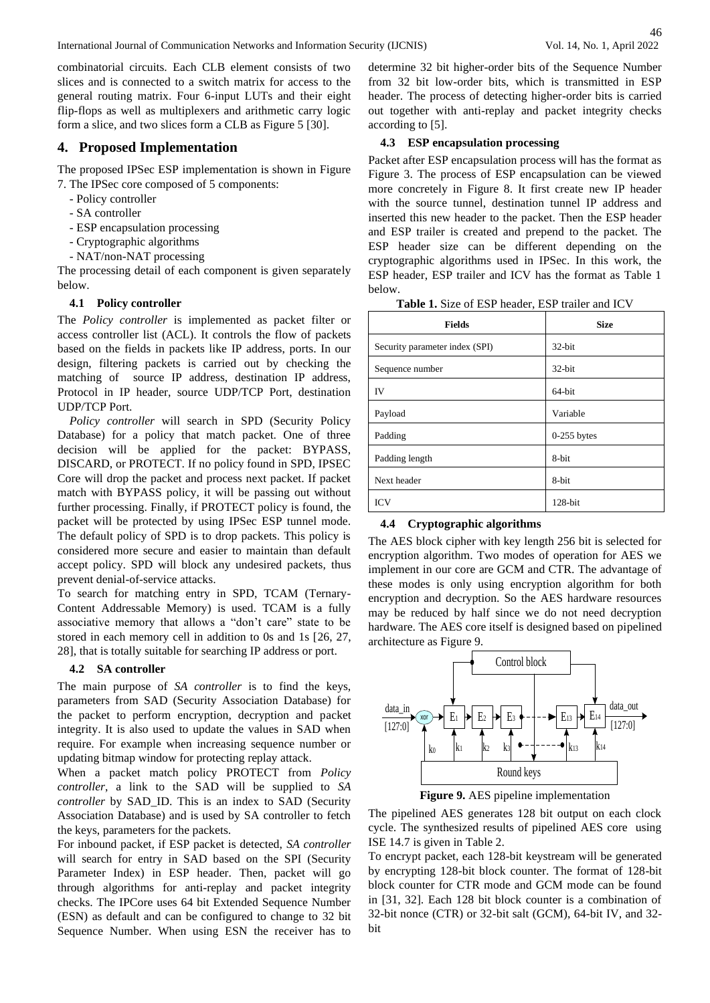46

combinatorial circuits. Each CLB element consists of two slices and is connected to a switch matrix for access to the general routing matrix. Four 6-input LUTs and their eight flip-flops as well as multiplexers and arithmetic carry logic form a slice, and two slices form a CLB as Figure 5 [30].

# **4. Proposed Implementation**

The proposed IPSec ESP implementation is shown in Figure 7. The IPSec core composed of 5 components:

- Policy controller
- SA controller
- ESP encapsulation processing
- Cryptographic algorithms
- NAT/non-NAT processing

The processing detail of each component is given separately below.

## **4.1 Policy controller**

The *Policy controller* is implemented as packet filter or access controller list (ACL). It controls the flow of packets based on the fields in packets like IP address, ports. In our design, filtering packets is carried out by checking the matching of source IP address, destination IP address, Protocol in IP header, source UDP/TCP Port, destination UDP/TCP Port.

*Policy controller* will search in SPD (Security Policy Database) for a policy that match packet. One of three decision will be applied for the packet: BYPASS, DISCARD, or PROTECT. If no policy found in SPD, IPSEC Core will drop the packet and process next packet. If packet match with BYPASS policy, it will be passing out without further processing. Finally, if PROTECT policy is found, the packet will be protected by using IPSec ESP tunnel mode. The default policy of SPD is to drop packets. This policy is considered more secure and easier to maintain than default accept policy. SPD will block any undesired packets, thus prevent denial-of-service attacks.

To search for matching entry in SPD, TCAM (Ternary-Content Addressable Memory) is used. TCAM is a fully associative memory that allows a "don't care" state to be stored in each memory cell in addition to 0s and 1s [26, 27, 28], that is totally suitable for searching IP address or port.

# **4.2 SA controller**

The main purpose of *SA controller* is to find the keys, parameters from SAD (Security Association Database) for the packet to perform encryption, decryption and packet integrity. It is also used to update the values in SAD when require. For example when increasing sequence number or updating bitmap window for protecting replay attack.

When a packet match policy PROTECT from *Policy controller*, a link to the SAD will be supplied to *SA controller* by SAD\_ID. This is an index to SAD (Security Association Database) and is used by SA controller to fetch the keys, parameters for the packets.

For inbound packet, if ESP packet is detected, *SA controller* will search for entry in SAD based on the SPI (Security Parameter Index) in ESP header. Then, packet will go through algorithms for anti-replay and packet integrity checks. The IPCore uses 64 bit Extended Sequence Number (ESN) as default and can be configured to change to 32 bit Sequence Number. When using ESN the receiver has to

determine 32 bit higher-order bits of the Sequence Number from 32 bit low-order bits, which is transmitted in ESP header. The process of detecting higher-order bits is carried out together with anti-replay and packet integrity checks according to [5].

# **4.3 ESP encapsulation processing**

Packet after ESP encapsulation process will has the format as Figure 3. The process of ESP encapsulation can be viewed more concretely in Figure 8. It first create new IP header with the source tunnel, destination tunnel IP address and inserted this new header to the packet. Then the ESP header and ESP trailer is created and prepend to the packet. The ESP header size can be different depending on the cryptographic algorithms used in IPSec. In this work, the ESP header, ESP trailer and ICV has the format as Table 1 below.

**Table 1.** Size of ESP header, ESP trailer and ICV

| <b>Fields</b>                  | <b>Size</b>   |
|--------------------------------|---------------|
| Security parameter index (SPI) | 32-bit        |
| Sequence number                | 32-bit        |
| <b>IV</b>                      | 64-bit        |
| Payload                        | Variable      |
| Padding                        | $0-255$ bytes |
| Padding length                 | 8-bit         |
| Next header                    | 8-bit         |
| <b>ICV</b>                     | $128$ -bit    |

## **4.4 Cryptographic algorithms**

The AES block cipher with key length 256 bit is selected for encryption algorithm. Two modes of operation for AES we implement in our core are GCM and CTR. The advantage of these modes is only using encryption algorithm for both encryption and decryption. So the AES hardware resources may be reduced by half since we do not need decryption hardware. The AES core itself is designed based on pipelined architecture as Figure 9.



**Figure 9.** AES pipeline implementation

The pipelined AES generates 128 bit output on each clock cycle. The synthesized results of pipelined AES core using ISE 14.7 is given in Table 2.

To encrypt packet, each 128-bit keystream will be generated by encrypting 128-bit block counter. The format of 128-bit block counter for CTR mode and GCM mode can be found in [31, 32]. Each 128 bit block counter is a combination of 32-bit nonce (CTR) or 32-bit salt (GCM), 64-bit IV, and 32 bit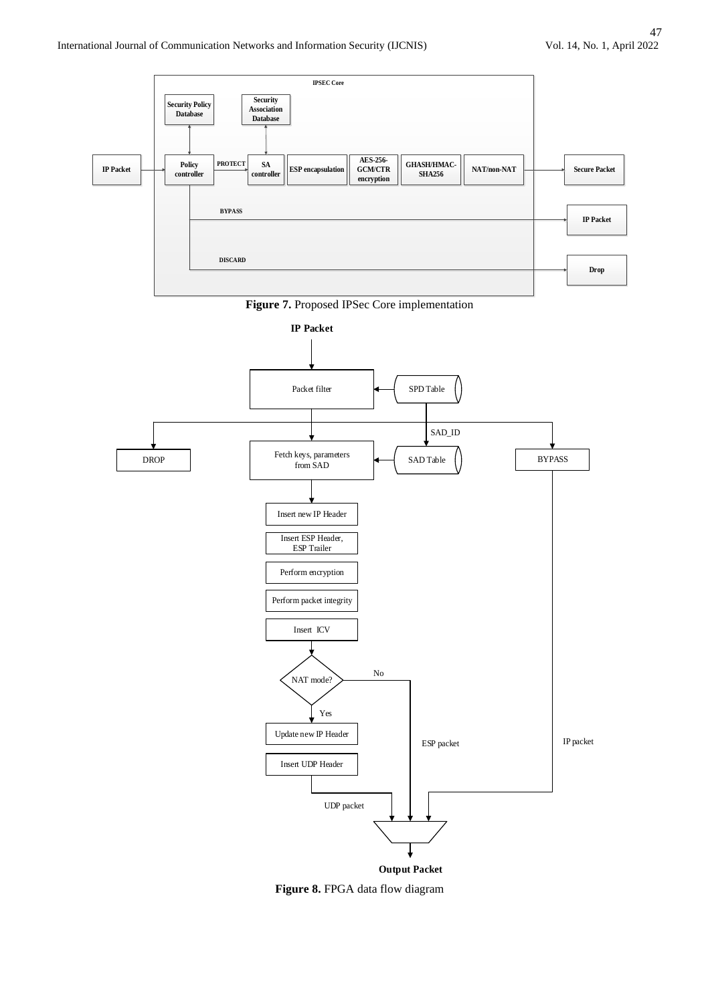

**Figure 7.** Proposed IPSec Core implementation



**Figure 8.** FPGA data flow diagram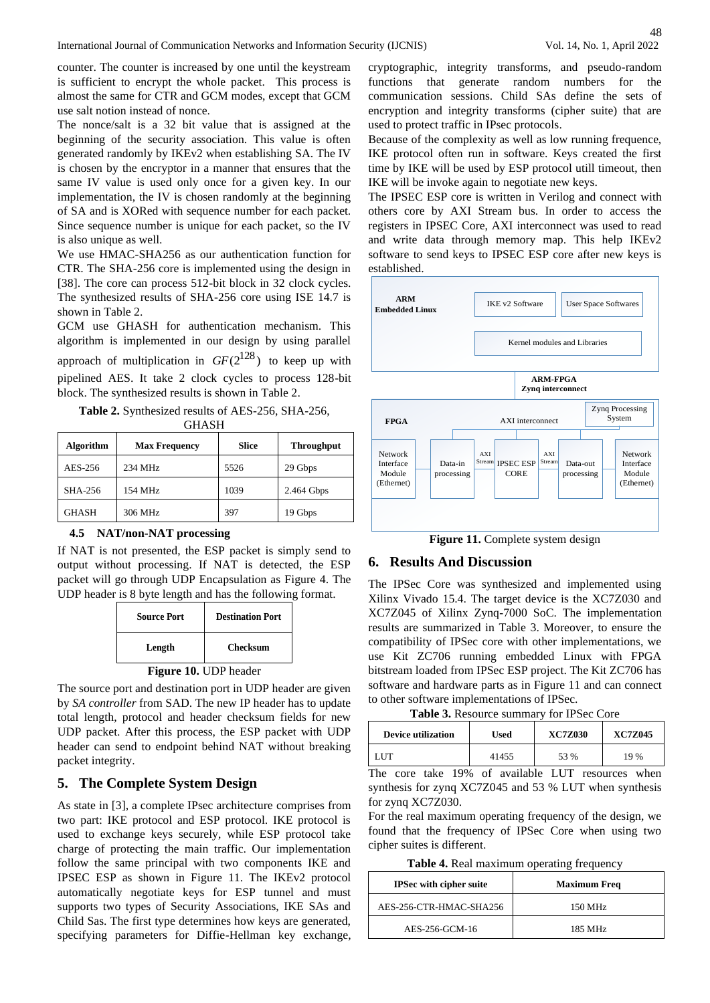counter. The counter is increased by one until the keystream is sufficient to encrypt the whole packet. This process is almost the same for CTR and GCM modes, except that GCM use salt notion instead of nonce.

The nonce/salt is a 32 bit value that is assigned at the beginning of the security association. This value is often generated randomly by IKEv2 when establishing SA. The IV is chosen by the encryptor in a manner that ensures that the same IV value is used only once for a given key. In our implementation, the IV is chosen randomly at the beginning of SA and is XORed with sequence number for each packet. Since sequence number is unique for each packet, so the IV is also unique as well.

We use HMAC-SHA256 as our authentication function for CTR. The SHA-256 core is implemented using the design in [38]. The core can process 512-bit block in 32 clock cycles. The synthesized results of SHA-256 core using ISE 14.7 is shown in Table 2.

GCM use GHASH for authentication mechanism. This algorithm is implemented in our design by using parallel approach of multiplication in  $GF(2^{128})$  to keep up with pipelined AES. It take 2 clock cycles to process 128-bit block. The synthesized results is shown in Table 2.

**Table 2.** Synthesized results of AES-256, SHA-256, GHASH

| <b>Algorithm</b> | <b>Max Frequency</b> | <b>Slice</b> | <b>Throughput</b> |
|------------------|----------------------|--------------|-------------------|
| AES-256          | 234 MHz              | 5526         | 29 Gbps           |
| SHA-256          | 154 MHz              | 1039         | 2.464 Gbps        |
| <b>GHASH</b>     | 306 MHz              | 397          | 19 Gbps           |

#### **4.5 NAT/non-NAT processing**

If NAT is not presented, the ESP packet is simply send to output without processing. If NAT is detected, the ESP packet will go through UDP Encapsulation as Figure 4. The UDP header is 8 byte length and has the following format.

| <b>Source Port</b>           | <b>Destination Port</b> |  |
|------------------------------|-------------------------|--|
| Length                       | Checksum                |  |
| <b>Figure 10. UDP</b> header |                         |  |

The source port and destination port in UDP header are given by *SA controller* from SAD. The new IP header has to update total length, protocol and header checksum fields for new UDP packet. After this process, the ESP packet with UDP header can send to endpoint behind NAT without breaking packet integrity.

# **5. The Complete System Design**

As state in [3], a complete IPsec architecture comprises from two part: IKE protocol and ESP protocol. IKE protocol is used to exchange keys securely, while ESP protocol take charge of protecting the main traffic. Our implementation follow the same principal with two components IKE and IPSEC ESP as shown in Figure 11. The IKEv2 protocol automatically negotiate keys for ESP tunnel and must supports two types of Security Associations, IKE SAs and Child Sas. The first type determines how keys are generated, specifying parameters for Diffie-Hellman key exchange,

cryptographic, integrity transforms, and pseudo-random functions that generate random numbers for the communication sessions. Child SAs define the sets of encryption and integrity transforms (cipher suite) that are used to protect traffic in IPsec protocols.

Because of the complexity as well as low running frequence, IKE protocol often run in software. Keys created the first time by IKE will be used by ESP protocol utill timeout, then IKE will be invoke again to negotiate new keys.

The IPSEC ESP core is written in Verilog and connect with others core by AXI Stream bus. In order to access the registers in IPSEC Core, AXI interconnect was used to read and write data through memory map. This help IKEv2 software to send keys to IPSEC ESP core after new keys is established.



**Figure 11.** Complete system design

## **6. Results And Discussion**

The IPSec Core was synthesized and implemented using Xilinx Vivado 15.4. The target device is the XC7Z030 and XC7Z045 of Xilinx Zynq-7000 SoC. The implementation results are summarized in Table 3. Moreover, to ensure the compatibility of IPSec core with other implementations, we use Kit ZC706 running embedded Linux with FPGA bitstream loaded from IPSec ESP project. The Kit ZC706 has software and hardware parts as in Figure 11 and can connect to other software implementations of IPSec.

**Table 3.** Resource summary for IPSec Core

| <b>Device utilization</b> | Used  | <b>XC7Z030</b> | <b>XC7Z045</b> |
|---------------------------|-------|----------------|----------------|
| ' HT                      | 41455 | 53 %           | 19 %           |

The core take 19% of available LUT resources when synthesis for zynq XC7Z045 and 53 % LUT when synthesis for zynq XC7Z030.

For the real maximum operating frequency of the design, we found that the frequency of IPSec Core when using two cipher suites is different.

**Table 4.** Real maximum operating frequency

| <b>IPSec with cipher suite</b> | <b>Maximum Freq</b> |
|--------------------------------|---------------------|
| AES-256-CTR-HMAC-SHA256        | 150 MHz             |
| AES-256-GCM-16                 | 185 MHz             |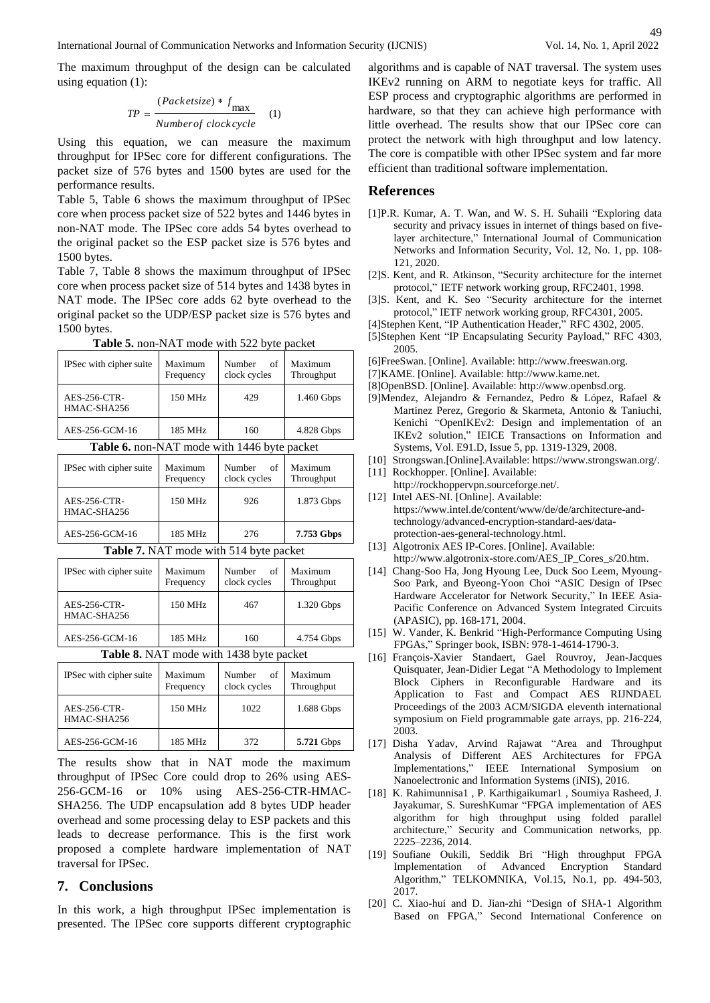The maximum throughput of the design can be calculated using equation (1):

$$
TP = \frac{(Packetsize) * f_{\text{max}}}{Numberof clockwise} \quad (1)
$$

Using this equation, we can measure the maximum throughput for IPSec core for different configurations. The packet size of 576 bytes and 1500 bytes are used for the performance results.

Table 5, Table 6 shows the maximum throughput of IPSec core when process packet size of 522 bytes and 1446 bytes in non-NAT mode. The IPSec core adds 54 bytes overhead to the original packet so the ESP packet size is 576 bytes and 1500 bytes.

Table 7, Table 8 shows the maximum throughput of IPSec core when process packet size of 514 bytes and 1438 bytes in NAT mode. The IPSec core adds 62 byte overhead to the original packet so the UDP/ESP packet size is 576 bytes and 1500 bytes.

| IPSec with cipher suite                                            | Maximum<br>Frequency | Number<br>of<br>clock cycles           | Maximum<br>Throughput |
|--------------------------------------------------------------------|----------------------|----------------------------------------|-----------------------|
| <b>AES-256-CTR-</b><br>HMAC-SHA256                                 | 150 MHz              | 429                                    | 1.460 Gbps            |
| AES-256-GCM-16                                                     | 185 MHz              | 160                                    | 4.828 Gbps            |
| <b>Table 6.</b> non-NAT mode with 1446 byte packet                 |                      |                                        |                       |
| IPSec with cipher suite                                            | Maximum<br>Frequency | Number<br>of<br>clock cycles           | Maximum<br>Throughput |
| <b>AES-256-CTR-</b><br>HMAC-SHA256                                 | 150 MHz              | 926                                    | 1.873 Gbps            |
| AES-256-GCM-16                                                     | 185 MHz              | 276                                    | 7.753 Gbps            |
| <b>Table 7.</b> NAT mode with 514 byte packet                      |                      |                                        |                       |
| $\mathbf{m}$ $\alpha$ $\alpha$ $\alpha$ $\alpha$ $\alpha$ $\alpha$ | $\mathbf{v}$         | $\mathbf{A}$ $\mathbf{I}$ $\mathbf{C}$ | $\mathbf{v}$          |

**Table 5.** non-NAT mode with 522 byte packet

| <b>Table 1.</b> IVELE HOUGH WHILE $J1 + U$ will packet |                      |                              |                       |
|--------------------------------------------------------|----------------------|------------------------------|-----------------------|
| IPSec with cipher suite                                | Maximum<br>Frequency | of<br>Number<br>clock cycles | Maximum<br>Throughput |
| AES-256-CTR-<br>HMAC-SHA256                            | 150 MHz              | 467                          | 1.320 Gbps            |
| AES-256-GCM-16                                         | 185 MHz              | 160                          | 4.754 Gbps            |
| Table 8 NAT mode with 1438 byte packet                 |                      |                              |                       |

**Table 8.** NAT mode with 1438 byte packet

| IPSec with cipher suite     | Maximum<br>Frequency | Number<br>- of<br>clock cycles | Maximum<br>Throughput |
|-----------------------------|----------------------|--------------------------------|-----------------------|
| AES-256-CTR-<br>HMAC-SHA256 | 150 MHz              | 1022                           | 1.688 Gbps            |
| AES-256-GCM-16              | 185 MHz              | 372                            | 5.721 Gbps            |

The results show that in NAT mode the maximum throughput of IPSec Core could drop to 26% using AES-256-GCM-16 or 10% using AES-256-CTR-HMAC-SHA256. The UDP encapsulation add 8 bytes UDP header overhead and some processing delay to ESP packets and this leads to decrease performance. This is the first work proposed a complete hardware implementation of NAT traversal for IPSec.

# **7. Conclusions**

In this work, a high throughput IPSec implementation is presented. The IPSec core supports different cryptographic algorithms and is capable of NAT traversal. The system uses IKEv2 running on ARM to negotiate keys for traffic. All ESP process and cryptographic algorithms are performed in hardware, so that they can achieve high performance with little overhead. The results show that our IPSec core can protect the network with high throughput and low latency. The core is compatible with other IPSec system and far more efficient than traditional software implementation.

## **References**

- [1]P.R. Kumar, A. T. Wan, and W. S. H. Suhaili "Exploring data security and privacy issues in internet of things based on fivelayer architecture," International Journal of Communication Networks and Information Security, Vol. 12, No. 1, pp. 108- 121, 2020.
- [2]S. Kent, and R. Atkinson, "Security architecture for the internet protocol," IETF network working group, RFC2401, 1998.
- [3]S. Kent, and K. Seo "Security architecture for the internet protocol," IETF network working group, RFC4301, 2005.
- [4]Stephen Kent, "IP Authentication Header," RFC 4302, 2005.
- [5]Stephen Kent "IP Encapsulating Security Payload," RFC 4303, 2005.
- [6]FreeSwan. [Online]. Available: http://www.freeswan.org.
- [7]KAME. [Online]. Available: http://www.kame.net.
- [8]OpenBSD. [Online]. Available: http://www.openbsd.org.
- [9]Mendez, Alejandro & Fernandez, Pedro & López, Rafael & Martinez Perez, Gregorio & Skarmeta, Antonio & Taniuchi, Kenichi "OpenIKEv2: Design and implementation of an IKEv2 solution," IEICE Transactions on Information and Systems, Vol. E91.D, Issue 5, pp. 1319-1329, 2008.
- [10] Strongswan.[Online].Available: https://www.strongswan.org/.
- [11] Rockhopper. [Online]. Available:
- http://rockhoppervpn.sourceforge.net/. [12] Intel AES-NI. [Online]. Available: https://www.intel.de/content/www/de/de/architecture-andtechnology/advanced-encryption-standard-aes/dataprotection-aes-general-technology.html.
- [13] Algotronix AES IP-Cores. [Online]. Available: http://www.algotronix-store.com/AES\_IP\_Cores\_s/20.htm.
- [14] Chang-Soo Ha, Jong Hyoung Lee, Duck Soo Leem, Myoung-Soo Park, and Byeong-Yoon Choi "ASIC Design of IPsec Hardware Accelerator for Network Security," In IEEE Asia-Pacific Conference on Advanced System Integrated Circuits (APASIC), pp. 168-171, 2004.
- [15] W. Vander, K. Benkrid "High-Performance Computing Using FPGAs," Springer book, ISBN: 978-1-4614-1790-3.
- [16] François-Xavier Standaert, Gael Rouvroy, Jean-Jacques Quisquater, Jean-Didier Legat "A Methodology to Implement Block Ciphers in Reconfigurable Hardware and its Application to Fast and Compact AES RIJNDAEL Proceedings of the 2003 ACM/SIGDA eleventh international symposium on Field programmable gate arrays, pp. 216-224, 2003.
- [17] Disha Yadav, Arvind Rajawat "Area and Throughput Analysis of Different AES Architectures for FPGA Implementations," IEEE International Symposium on Nanoelectronic and Information Systems (iNIS), 2016.
- [18] K. Rahimunnisa1 , P. Karthigaikumar1 , Soumiya Rasheed, J. Jayakumar, S. SureshKumar "FPGA implementation of AES algorithm for high throughput using folded parallel architecture," Security and Communication networks, pp. 2225–2236, 2014.
- [19] Soufiane Oukili, Seddik Bri "High throughput FPGA Implementation of Advanced Encryption Standard Algorithm," TELKOMNIKA, Vol.15, No.1, pp. 494-503, 2017.
- [20] C. Xiao-hui and D. Jian-zhi "Design of SHA-1 Algorithm Based on FPGA," Second International Conference on